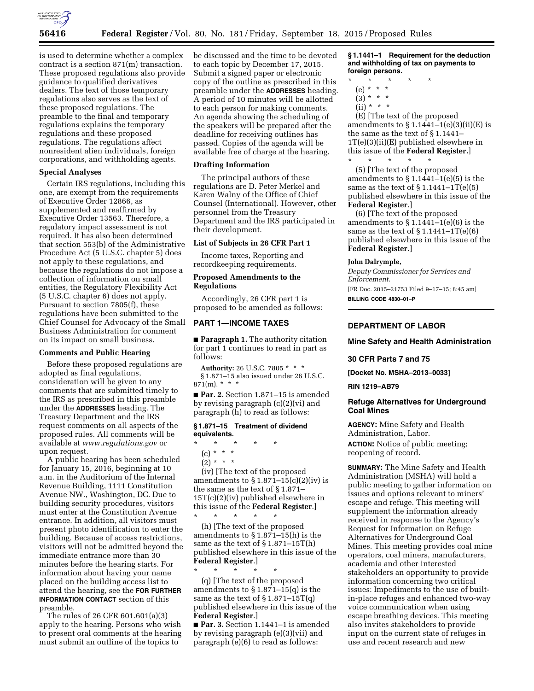

is used to determine whether a complex contract is a section 871(m) transaction. These proposed regulations also provide guidance to qualified derivatives dealers. The text of those temporary regulations also serves as the text of these proposed regulations. The preamble to the final and temporary regulations explains the temporary regulations and these proposed regulations. The regulations affect nonresident alien individuals, foreign corporations, and withholding agents.

### **Special Analyses**

Certain IRS regulations, including this one, are exempt from the requirements of Executive Order 12866, as supplemented and reaffirmed by Executive Order 13563. Therefore, a regulatory impact assessment is not required. It has also been determined that section 553(b) of the Administrative Procedure Act (5 U.S.C. chapter 5) does not apply to these regulations, and because the regulations do not impose a collection of information on small entities, the Regulatory Flexibility Act (5 U.S.C. chapter 6) does not apply. Pursuant to section 7805(f), these regulations have been submitted to the Chief Counsel for Advocacy of the Small Business Administration for comment on its impact on small business.

### **Comments and Public Hearing**

Before these proposed regulations are adopted as final regulations, consideration will be given to any comments that are submitted timely to the IRS as prescribed in this preamble under the **ADDRESSES** heading. The Treasury Department and the IRS request comments on all aspects of the proposed rules. All comments will be available at *[www.regulations.gov](http://www.regulations.gov)* or upon request.

A public hearing has been scheduled for January 15, 2016, beginning at 10 a.m. in the Auditorium of the Internal Revenue Building, 1111 Constitution Avenue NW., Washington, DC. Due to building security procedures, visitors must enter at the Constitution Avenue entrance. In addition, all visitors must present photo identification to enter the building. Because of access restrictions, visitors will not be admitted beyond the immediate entrance more than 30 minutes before the hearing starts. For information about having your name placed on the building access list to attend the hearing, see the **FOR FURTHER INFORMATION CONTACT** section of this preamble.

The rules of 26 CFR 601.601(a)(3) apply to the hearing. Persons who wish to present oral comments at the hearing must submit an outline of the topics to

be discussed and the time to be devoted to each topic by December 17, 2015. Submit a signed paper or electronic copy of the outline as prescribed in this preamble under the **ADDRESSES** heading. A period of 10 minutes will be allotted to each person for making comments. An agenda showing the scheduling of the speakers will be prepared after the deadline for receiving outlines has passed. Copies of the agenda will be available free of charge at the hearing.

#### **Drafting Information**

The principal authors of these regulations are D. Peter Merkel and Karen Walny of the Office of Chief Counsel (International). However, other personnel from the Treasury Department and the IRS participated in their development.

# **List of Subjects in 26 CFR Part 1**

Income taxes, Reporting and recordkeeping requirements.

# **Proposed Amendments to the Regulations**

Accordingly, 26 CFR part 1 is proposed to be amended as follows:

# **PART 1—INCOME TAXES**

■ **Paragraph 1.** The authority citation for part 1 continues to read in part as follows:

**Authority:** 26 U.S.C. 7805 \* \* \* § 1.871–15 also issued under 26 U.S.C. 871(m). \* \* \*

■ **Par. 2.** Section 1.871-15 is amended by revising paragraph (c)(2)(vi) and paragraph (h) to read as follows:

#### **§ 1.871–15 Treatment of dividend equivalents.**

- \* \* \* \* \* (c) \* \* \*
- $(2) * * * *$

(iv) [The text of the proposed amendments to  $\S 1.871 - 15(c)(2)(iv)$  is the same as the text of § 1.871– 15T(c)(2)(iv) published elsewhere in this issue of the **Federal Register**.]

\* \* \* \* \* (h) [The text of the proposed amendments to § 1.871–15(h) is the same as the text of  $\S 1.871 - 15T(h)$ published elsewhere in this issue of the **Federal Register**.]

\* \* \* \* \* (q) [The text of the proposed amendments to  $\S 1.871 - 15(q)$  is the same as the text of  $\S 1.871 - 15T(q)$ published elsewhere in this issue of the **Federal Register**.]

■ **Par. 3.** Section 1.1441–1 is amended by revising paragraph (e)(3)(vii) and paragraph (e)(6) to read as follows:

**§ 1.1441–1 Requirement for the deduction and withholding of tax on payments to foreign persons.** 

- \* \* \* \* \*
	- (e) \* \* \*
	- $(3) * * * *$
	- $(ii) * * * *$

(E) [The text of the proposed amendments to  $\S 1.1441-1(e)(3)(ii)(E)$  is the same as the text of § 1.1441– 1T(e)(3)(ii)(E) published elsewhere in this issue of the **Federal Register.**] \* \* \* \* \*

(5) [The text of the proposed amendments to  $\S 1.1441 - 1(e)(5)$  is the same as the text of  $\S 1.1441 - 1T(e)(5)$ published elsewhere in this issue of the **Federal Register**.]

(6) [The text of the proposed amendments to  $\S 1.1441 - 1(e)(6)$  is the same as the text of  $\S 1.1441 - 1T(e)(6)$ published elsewhere in this issue of the **Federal Register**.]

#### **John Dalrymple,**

*Deputy Commissioner for Services and Enforcement.*  [FR Doc. 2015–21753 Filed 9–17–15; 8:45 am] **BILLING CODE 4830–01–P** 

### **DEPARTMENT OF LABOR**

#### **Mine Safety and Health Administration**

# **30 CFR Parts 7 and 75**

**[Docket No. MSHA–2013–0033]** 

#### **RIN 1219–AB79**

# **Refuge Alternatives for Underground Coal Mines**

**AGENCY:** Mine Safety and Health Administration, Labor.

**ACTION:** Notice of public meeting; reopening of record.

**SUMMARY:** The Mine Safety and Health Administration (MSHA) will hold a public meeting to gather information on issues and options relevant to miners' escape and refuge. This meeting will supplement the information already received in response to the Agency's Request for Information on Refuge Alternatives for Underground Coal Mines. This meeting provides coal mine operators, coal miners, manufacturers, academia and other interested stakeholders an opportunity to provide information concerning two critical issues: Impediments to the use of builtin-place refuges and enhanced two-way voice communication when using escape breathing devices. This meeting also invites stakeholders to provide input on the current state of refuges in use and recent research and new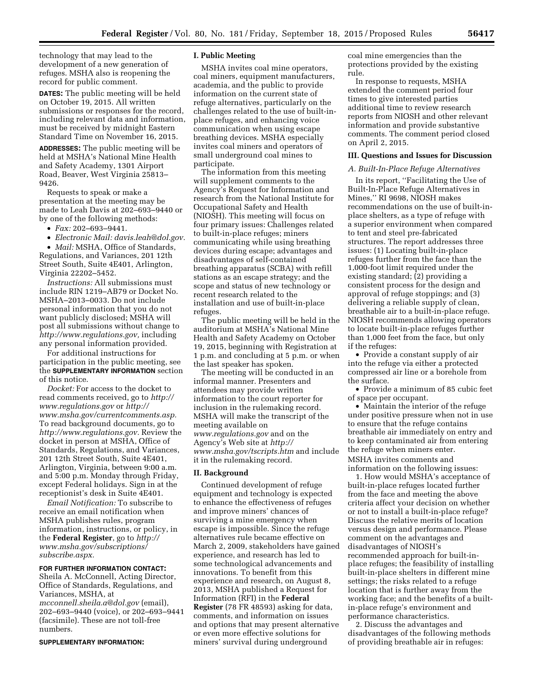technology that may lead to the development of a new generation of refuges. MSHA also is reopening the record for public comment.

**DATES:** The public meeting will be held on October 19, 2015. All written submissions or responses for the record, including relevant data and information, must be received by midnight Eastern Standard Time on November 16, 2015.

**ADDRESSES:** The public meeting will be held at MSHA's National Mine Health and Safety Academy, 1301 Airport Road, Beaver, West Virginia 25813– 9426.

Requests to speak or make a presentation at the meeting may be made to Leah Davis at 202–693–9440 or by one of the following methods:

• *Fax:* 202–693–9441.

• *Electronic Mail: [davis.leah@dol.gov.](mailto:davis.leah@dol.gov)* 

• *Mail:* MSHA, Office of Standards, Regulations, and Variances, 201 12th Street South, Suite 4E401, Arlington, Virginia 22202–5452.

*Instructions:* All submissions must include RIN 1219–AB79 or Docket No. MSHA–2013–0033. Do not include personal information that you do not want publicly disclosed; MSHA will post all submissions without change to *[http://www.regulations.gov,](http://www.regulations.gov)* including any personal information provided.

For additional instructions for participation in the public meeting, see the **SUPPLEMENTARY INFORMATION** section of this notice.

*Docket:* For access to the docket to read comments received, go to *[http://](http://www.regulations.gov) [www.regulations.gov](http://www.regulations.gov)* or *[http://](http://www.msha.gov/currentcomments.asp) [www.msha.gov/currentcomments.asp.](http://www.msha.gov/currentcomments.asp)*  To read background documents, go to *[http://www.regulations.gov.](http://www.regulations.gov)* Review the docket in person at MSHA, Office of Standards, Regulations, and Variances, 201 12th Street South, Suite 4E401, Arlington, Virginia, between 9:00 a.m. and 5:00 p.m. Monday through Friday, except Federal holidays. Sign in at the receptionist's desk in Suite 4E401.

*Email Notification:* To subscribe to receive an email notification when MSHA publishes rules, program information, instructions, or policy, in the **Federal Register**, go to *[http://](http://www.msha.gov/subscriptions/subscribe.aspx) [www.msha.gov/subscriptions/](http://www.msha.gov/subscriptions/subscribe.aspx) [subscribe.aspx.](http://www.msha.gov/subscriptions/subscribe.aspx)* 

### **FOR FURTHER INFORMATION CONTACT:**

Sheila A. McConnell, Acting Director, Office of Standards, Regulations, and Variances, MSHA, at

*[mcconnell.sheila.a@dol.gov](mailto:mcconnell.sheila.a@dol.gov)* (email), 202–693–9440 (voice), or 202–693–9441 (facsimile). These are not toll-free numbers.

#### **SUPPLEMENTARY INFORMATION:**

### **I. Public Meeting**

MSHA invites coal mine operators, coal miners, equipment manufacturers, academia, and the public to provide information on the current state of refuge alternatives, particularly on the challenges related to the use of built-inplace refuges, and enhancing voice communication when using escape breathing devices. MSHA especially invites coal miners and operators of small underground coal mines to participate.

The information from this meeting will supplement comments to the Agency's Request for Information and research from the National Institute for Occupational Safety and Health (NIOSH). This meeting will focus on four primary issues: Challenges related to built-in-place refuges; miners communicating while using breathing devices during escape; advantages and disadvantages of self-contained breathing apparatus (SCBA) with refill stations as an escape strategy; and the scope and status of new technology or recent research related to the installation and use of built-in-place refuges.

The public meeting will be held in the auditorium at MSHA's National Mine Health and Safety Academy on October 19, 2015, beginning with Registration at 1 p.m. and concluding at 5 p.m. or when the last speaker has spoken.

The meeting will be conducted in an informal manner. Presenters and attendees may provide written information to the court reporter for inclusion in the rulemaking record. MSHA will make the transcript of the meeting available on *[www.regulations.gov](http://www.regulations.gov)* and on the Agency's Web site at *[http://](http://www.msha.gov/tscripts.htm) [www.msha.gov/tscripts.htm](http://www.msha.gov/tscripts.htm)* and include it in the rulemaking record.

# **II. Background**

Continued development of refuge equipment and technology is expected to enhance the effectiveness of refuges and improve miners' chances of surviving a mine emergency when escape is impossible. Since the refuge alternatives rule became effective on March 2, 2009, stakeholders have gained experience, and research has led to some technological advancements and innovations. To benefit from this experience and research, on August 8, 2013, MSHA published a Request for Information (RFI) in the **Federal Register** (78 FR 48593) asking for data, comments, and information on issues and options that may present alternative or even more effective solutions for miners' survival during underground

coal mine emergencies than the protections provided by the existing rule.

In response to requests, MSHA extended the comment period four times to give interested parties additional time to review research reports from NIOSH and other relevant information and provide substantive comments. The comment period closed on April 2, 2015.

#### **III. Questions and Issues for Discussion**

# *A. Built-In-Place Refuge Alternatives*

In its report, ''Facilitating the Use of Built-In-Place Refuge Alternatives in Mines,'' RI 9698, NIOSH makes recommendations on the use of built-inplace shelters, as a type of refuge with a superior environment when compared to tent and steel pre-fabricated structures. The report addresses three issues: (1) Locating built-in-place refuges further from the face than the 1,000-foot limit required under the existing standard; (2) providing a consistent process for the design and approval of refuge stoppings; and (3) delivering a reliable supply of clean, breathable air to a built-in-place refuge. NIOSH recommends allowing operators to locate built-in-place refuges further than 1,000 feet from the face, but only if the refuges:

• Provide a constant supply of air into the refuge via either a protected compressed air line or a borehole from the surface.

• Provide a minimum of 85 cubic feet of space per occupant.

• Maintain the interior of the refuge under positive pressure when not in use to ensure that the refuge contains breathable air immediately on entry and to keep contaminated air from entering the refuge when miners enter. MSHA invites comments and information on the following issues:

1. How would MSHA's acceptance of built-in-place refuges located further from the face and meeting the above criteria affect your decision on whether or not to install a built-in-place refuge? Discuss the relative merits of location versus design and performance. Please comment on the advantages and disadvantages of NIOSH's recommended approach for built-inplace refuges; the feasibility of installing built-in-place shelters in different mine settings; the risks related to a refuge location that is further away from the working face; and the benefits of a builtin-place refuge's environment and performance characteristics.

2. Discuss the advantages and disadvantages of the following methods of providing breathable air in refuges: